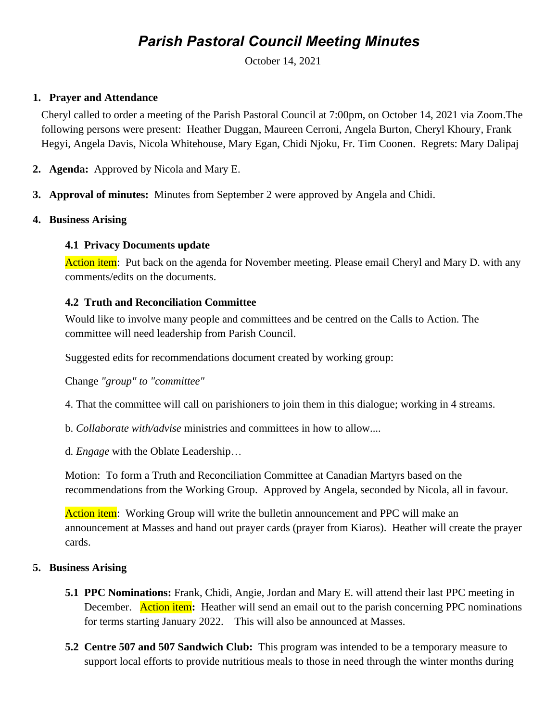# *Parish Pastoral Council Meeting Minutes*

October 14, 2021

### **1. Prayer and Attendance**

Cheryl called to order a meeting of the Parish Pastoral Council at 7:00pm, on October 14, 2021 via Zoom.The following persons were present: Heather Duggan, Maureen Cerroni, Angela Burton, Cheryl Khoury, Frank Hegyi, Angela Davis, Nicola Whitehouse, Mary Egan, Chidi Njoku, Fr. Tim Coonen. Regrets: Mary Dalipaj

- **2. Agenda:** Approved by Nicola and Mary E.
- **3. Approval of minutes:** Minutes from September 2 were approved by Angela and Chidi.

# **4. Business Arising**

# **4.1 Privacy Documents update**

Action item: Put back on the agenda for November meeting. Please email Cheryl and Mary D. with any comments/edits on the documents.

# **4.2 Truth and Reconciliation Committee**

Would like to involve many people and committees and be centred on the Calls to Action. The committee will need leadership from Parish Council.

Suggested edits for recommendations document created by working group:

Change *"group" to "committee"*

4. That the committee will call on parishioners to join them in this dialogue; working in 4 streams.

b. *Collaborate with/advise* ministries and committees in how to allow....

d. *Engage* with the Oblate Leadership…

Motion: To form a Truth and Reconciliation Committee at Canadian Martyrs based on the recommendations from the Working Group. Approved by Angela, seconded by Nicola, all in favour.

Action item: Working Group will write the bulletin announcement and PPC will make an announcement at Masses and hand out prayer cards (prayer from Kiaros). Heather will create the prayer cards.

### **5. Business Arising**

- **5.1 PPC Nominations:** Frank, Chidi, Angie, Jordan and Mary E. will attend their last PPC meeting in December. Action item**:** Heather will send an email out to the parish concerning PPC nominations for terms starting January 2022. This will also be announced at Masses.
- **5.2 Centre 507 and 507 Sandwich Club:** This program was intended to be a temporary measure to support local efforts to provide nutritious meals to those in need through the winter months during